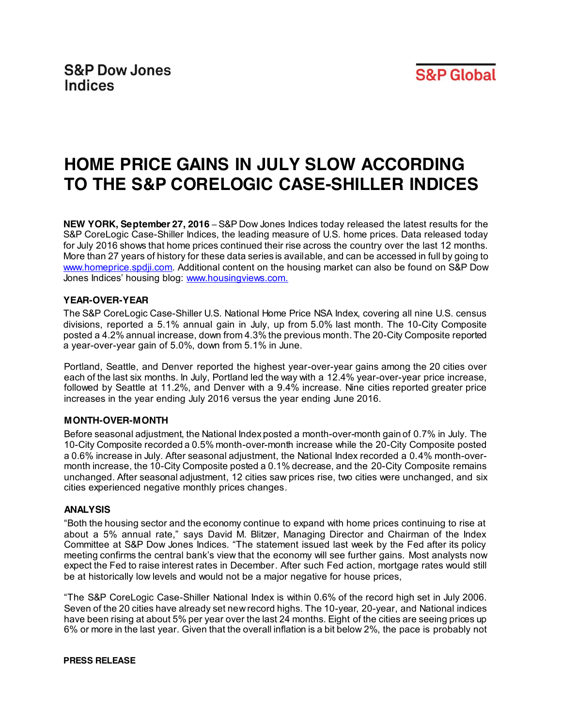

# **HOME PRICE GAINS IN JULY SLOW ACCORDING TO THE S&P CORELOGIC CASE-SHILLER INDICES**

**NEW YORK, September 27, 2016** – S&P Dow Jones Indices today released the latest results for the S&P CoreLogic Case-Shiller Indices, the leading measure of U.S. home prices. Data released today for July 2016 shows that home prices continued their rise across the country over the last 12 months. More than 27 years of history for these data series is available, and can be accessed in full by going to [www.homeprice.spdji.com.](http://www.homeprice.spdji.com/) Additional content on the housing market can also be found on S&P Dow Jones Indices' housing blog: [www.housingviews.com](http://www.housingviews.com/).

## **YEAR-OVER-YEAR**

The S&P CoreLogic Case-Shiller U.S. National Home Price NSA Index, covering all nine U.S. census divisions, reported a 5.1% annual gain in July, up from 5.0% last month. The 10-City Composite posted a 4.2% annual increase, down from 4.3% the previous month.The 20-City Composite reported a year-over-year gain of 5.0%, down from 5.1% in June.

Portland, Seattle, and Denver reported the highest year-over-year gains among the 20 cities over each of the last six months. In July, Portland led the way with a 12.4% year-over-year price increase, followed by Seattle at 11.2%, and Denver with a 9.4% increase. Nine cities reported greater price increases in the year ending July 2016 versus the year ending June 2016.

## **MONTH-OVER-MONTH**

Before seasonal adjustment, the National Index posted a month-over-month gain of 0.7% in July. The 10-City Composite recorded a 0.5% month-over-month increase while the 20-City Composite posted a 0.6% increase in July. After seasonal adjustment, the National Index recorded a 0.4% month-overmonth increase, the 10-City Composite posted a 0.1% decrease, and the 20-City Composite remains unchanged. After seasonal adjustment, 12 cities saw prices rise, two cities were unchanged, and six cities experienced negative monthly prices changes.

## **ANALYSIS**

"Both the housing sector and the economy continue to expand with home prices continuing to rise at about a 5% annual rate," says David M. Blitzer, Managing Director and Chairman of the Index Committee at S&P Dow Jones Indices. "The statement issued last week by the Fed after its policy meeting confirms the central bank's view that the economy will see further gains. Most analysts now expect the Fed to raise interest rates in December. After such Fed action, mortgage rates would still be at historically low levels and would not be a major negative for house prices,

"The S&P CoreLogic Case-Shiller National Index is within 0.6% of the record high set in July 2006. Seven of the 20 cities have already set new record highs. The 10-year, 20-year, and National indices have been rising at about 5% per year over the last 24 months. Eight of the cities are seeing prices up 6% or more in the last year. Given that the overall inflation is a bit below 2%, the pace is probably not

#### **PRESS RELEASE**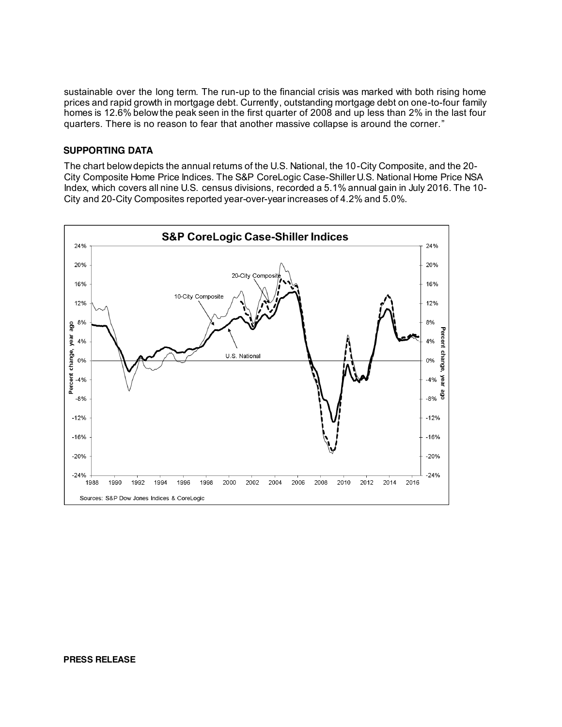sustainable over the long term. The run-up to the financial crisis was marked with both rising home prices and rapid growth in mortgage debt. Currently, outstanding mortgage debt on one-to-four family homes is 12.6% below the peak seen in the first quarter of 2008 and up less than 2% in the last four quarters. There is no reason to fear that another massive collapse is around the corner."

#### **SUPPORTING DATA**

The chart below depicts the annual returns of the U.S. National, the 10-City Composite, and the 20- City Composite Home Price Indices. The S&P CoreLogic Case-Shiller U.S. National Home Price NSA Index, which covers all nine U.S. census divisions, recorded a 5.1% annual gain in July 2016. The 10- City and 20-City Composites reported year-over-year increases of 4.2% and 5.0%.

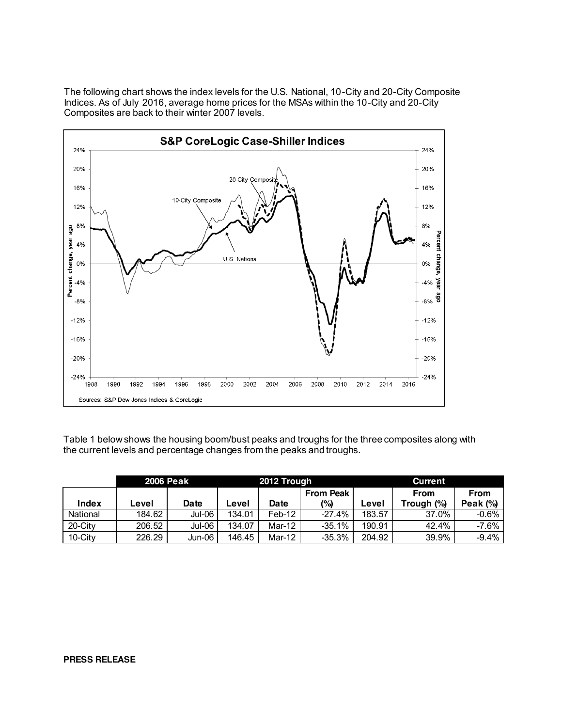The following chart shows the index levels for the U.S. National, 10-City and 20-City Composite Indices. As of July 2016, average home prices for the MSAs within the 10-City and 20-City Composites are back to their winter 2007 levels.



Table 1 below shows the housing boom/bust peaks and troughs for the three composites along with the current levels and percentage changes from the peaks and troughs.

|            | 2006 Peak |             | 2012 Trough |          |                  | <b>Current</b> |            |             |
|------------|-----------|-------------|-------------|----------|------------------|----------------|------------|-------------|
|            |           |             |             |          | <b>From Peak</b> |                | From       | <b>From</b> |
| Index      | Level     | <b>Date</b> | Level       | Date     | (%)              | Level          | Trough (%) | Peak $(%)$  |
| National   | 184.62    | Jul-06      | 134.01      | $Feb-12$ | $-27.4%$         | 183.57         | 37.0%      | $-0.6%$     |
| $20$ -City | 206.52    | Jul-06      | 134.07      | Mar-12   | $-35.1%$         | 190.91         | 42.4%      | $-7.6%$     |
| 10-City    | 226.29    | Jun-06      | 146.45      | Mar-12   | $-35.3%$         | 204.92         | 39.9%      | $-9.4%$     |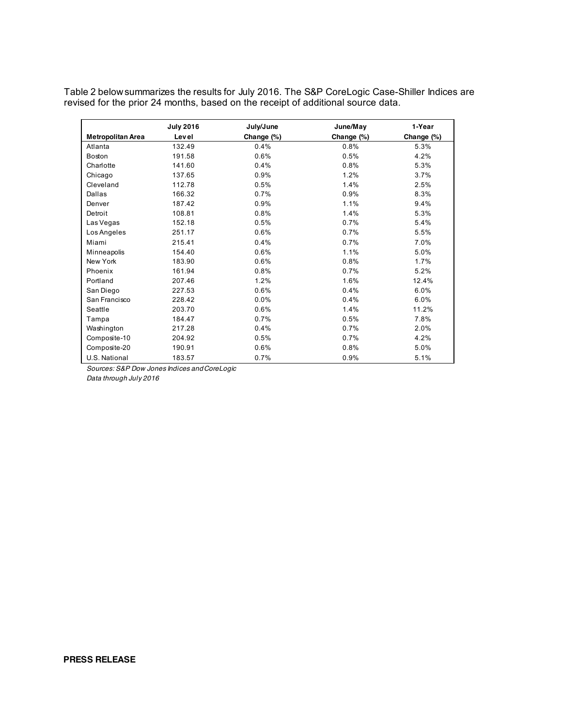Table 2 below summarizes the results for July 2016. The S&P CoreLogic Case-Shiller Indices are revised for the prior 24 months, based on the receipt of additional source data.

|                   | <b>July 2016</b> | July/June  | June/May   | 1-Year     |
|-------------------|------------------|------------|------------|------------|
| Metropolitan Area | Level            | Change (%) | Change (%) | Change (%) |
| Atlanta           | 132.49           | 0.4%       | 0.8%       | 5.3%       |
| Boston            | 191.58           | 0.6%       | 0.5%       | 4.2%       |
| Charlotte         | 141.60           | 0.4%       | 0.8%       | 5.3%       |
| Chicago           | 137.65           | 0.9%       | 1.2%       | 3.7%       |
| Cleveland         | 112.78           | 0.5%       | 1.4%       | 2.5%       |
| Dallas            | 166.32           | 0.7%       | 0.9%       | 8.3%       |
| Denver            | 187.42           | 0.9%       | 1.1%       | 9.4%       |
| Detroit           | 108.81           | 0.8%       | 1.4%       | 5.3%       |
| Las Vegas         | 152.18           | 0.5%       | 0.7%       | 5.4%       |
| Los Angeles       | 251.17           | 0.6%       | 0.7%       | 5.5%       |
| Miami             | 215.41           | 0.4%       | 0.7%       | 7.0%       |
| Minneapolis       | 154.40           | 0.6%       | 1.1%       | 5.0%       |
| New York          | 183.90           | 0.6%       | 0.8%       | 1.7%       |
| Phoenix           | 161.94           | 0.8%       | 0.7%       | 5.2%       |
| Portland          | 207.46           | 1.2%       | 1.6%       | 12.4%      |
| San Diego         | 227.53           | 0.6%       | 0.4%       | 6.0%       |
| San Francisco     | 228.42           | 0.0%       | 0.4%       | 6.0%       |
| Seattle           | 203.70           | 0.6%       | 1.4%       | 11.2%      |
| Tampa             | 184.47           | 0.7%       | 0.5%       | 7.8%       |
| Washington        | 217.28           | 0.4%       | 0.7%       | 2.0%       |
| Composite-10      | 204.92           | 0.5%       | 0.7%       | 4.2%       |
| Composite-20      | 190.91           | 0.6%       | 0.8%       | 5.0%       |
| U.S. National     | 183.57           | 0.7%       | 0.9%       | 5.1%       |

*Sources: S&P Dow Jones Indices and CoreLogic*

*Data through July 2016*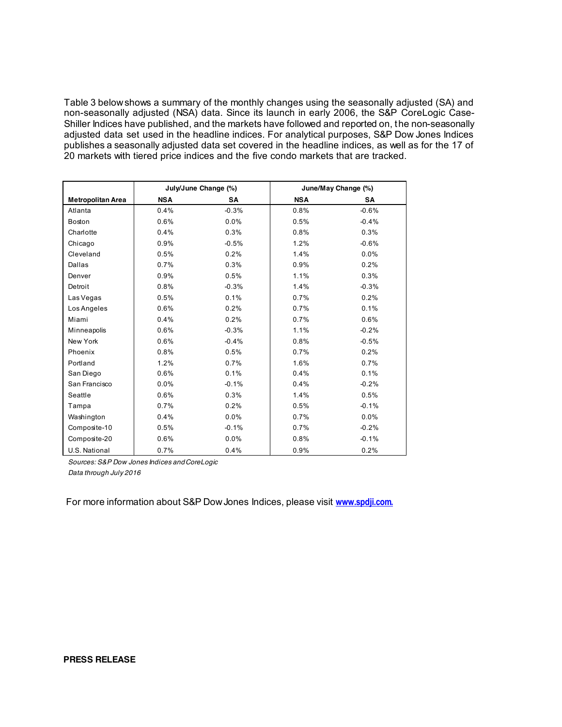Table 3 below shows a summary of the monthly changes using the seasonally adjusted (SA) and non-seasonally adjusted (NSA) data. Since its launch in early 2006, the S&P CoreLogic Case-Shiller Indices have published, and the markets have followed and reported on, the non-seasonally adjusted data set used in the headline indices. For analytical purposes, S&P Dow Jones Indices publishes a seasonally adjusted data set covered in the headline indices, as well as for the 17 of 20 markets with tiered price indices and the five condo markets that are tracked.

|                          | July/June Change (%) |           | June/May Change (%) |         |  |
|--------------------------|----------------------|-----------|---------------------|---------|--|
| <b>Metropolitan Area</b> | <b>NSA</b>           | <b>SA</b> | <b>NSA</b>          | SΑ      |  |
| Atlanta                  | 0.4%                 | $-0.3%$   | 0.8%                | $-0.6%$ |  |
| Boston                   | 0.6%                 | 0.0%      | 0.5%                | $-0.4%$ |  |
| Charlotte                | 0.4%                 | 0.3%      | 0.8%                | 0.3%    |  |
| Chicago                  | 0.9%                 | $-0.5%$   | 1.2%                | $-0.6%$ |  |
| Cleveland                | 0.5%                 | 0.2%      | 1.4%                | 0.0%    |  |
| Dallas                   | 0.7%                 | 0.3%      | 0.9%                | 0.2%    |  |
| Denver                   | 0.9%                 | 0.5%      | 1.1%                | 0.3%    |  |
| Detroit                  | 0.8%                 | $-0.3%$   | 1.4%                | $-0.3%$ |  |
| Las Vegas                | 0.5%                 | 0.1%      | 0.7%                | 0.2%    |  |
| Los Angeles              | 0.6%                 | 0.2%      | 0.7%                | 0.1%    |  |
| Miami                    | 0.4%                 | 0.2%      | 0.7%                | 0.6%    |  |
| Minneapolis              | 0.6%                 | $-0.3%$   | 1.1%                | $-0.2%$ |  |
| New York                 | 0.6%                 | $-0.4%$   | 0.8%                | $-0.5%$ |  |
| Phoenix                  | 0.8%                 | 0.5%      | 0.7%                | 0.2%    |  |
| Portland                 | 1.2%                 | 0.7%      | 1.6%                | 0.7%    |  |
| San Diego                | 0.6%                 | 0.1%      | 0.4%                | 0.1%    |  |
| San Francisco            | 0.0%                 | $-0.1%$   | 0.4%                | $-0.2%$ |  |
| Seattle                  | 0.6%                 | 0.3%      | 1.4%                | 0.5%    |  |
| Tampa                    | 0.7%                 | 0.2%      | 0.5%                | $-0.1%$ |  |
| Washington               | 0.4%                 | 0.0%      | 0.7%                | 0.0%    |  |
| Composite-10             | 0.5%                 | $-0.1%$   | 0.7%                | $-0.2%$ |  |
| Composite-20             | 0.6%                 | 0.0%      | 0.8%                | $-0.1%$ |  |
| U.S. National            | 0.7%                 | 0.4%      | 0.9%                | 0.2%    |  |

*Sources: S&P Dow Jones Indices and CoreLogic Data through July 2016*

For more information about S&P Dow Jones Indices, please visit **[www.spdji.com.](http://www.spdji.com/)**